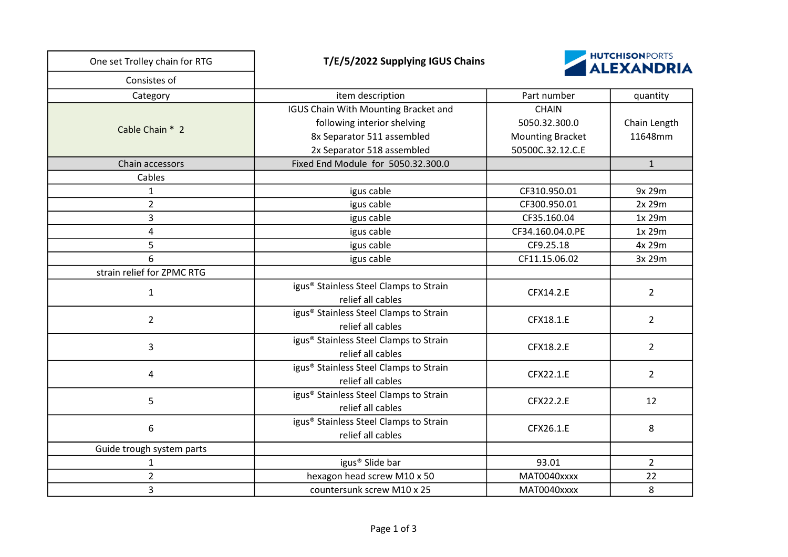| One set Trolley chain for RTG | <b>HUTCHISONPORTS</b><br>T/E/5/2022 Supplying IGUS Chains<br><b>ALEXANDRIA</b>                                                  |                                                                              |                         |
|-------------------------------|---------------------------------------------------------------------------------------------------------------------------------|------------------------------------------------------------------------------|-------------------------|
| Consistes of                  |                                                                                                                                 |                                                                              |                         |
| Category                      | item description                                                                                                                | Part number                                                                  | quantity                |
| Cable Chain * 2               | IGUS Chain With Mounting Bracket and<br>following interior shelving<br>8x Separator 511 assembled<br>2x Separator 518 assembled | <b>CHAIN</b><br>5050.32.300.0<br><b>Mounting Bracket</b><br>50500C.32.12.C.E | Chain Length<br>11648mm |
| Chain accessors               | Fixed End Module for 5050.32.300.0                                                                                              |                                                                              | $\mathbf{1}$            |
| Cables                        |                                                                                                                                 |                                                                              |                         |
| $\mathbf{1}$                  | igus cable                                                                                                                      | CF310.950.01                                                                 | 9x 29m                  |
| $\overline{2}$                | igus cable                                                                                                                      | CF300.950.01                                                                 | 2x 29m                  |
| 3                             | igus cable                                                                                                                      | CF35.160.04                                                                  | 1x 29m                  |
| $\overline{\mathbf{4}}$       | igus cable                                                                                                                      | CF34.160.04.0.PE                                                             | 1x 29m                  |
| 5                             | igus cable                                                                                                                      | CF9.25.18                                                                    | 4x 29m                  |
| 6                             | igus cable                                                                                                                      | CF11.15.06.02                                                                | 3x 29m                  |
| strain relief for ZPMC RTG    |                                                                                                                                 |                                                                              |                         |
| $\mathbf{1}$                  | igus <sup>®</sup> Stainless Steel Clamps to Strain<br>relief all cables                                                         | CFX14.2.E                                                                    | $\overline{2}$          |
| $\overline{2}$                | igus <sup>®</sup> Stainless Steel Clamps to Strain<br>relief all cables                                                         | CFX18.1.E                                                                    | $\overline{2}$          |
| 3                             | igus <sup>®</sup> Stainless Steel Clamps to Strain<br>relief all cables                                                         | CFX18.2.E                                                                    | $\overline{2}$          |
| 4                             | igus <sup>®</sup> Stainless Steel Clamps to Strain<br>relief all cables                                                         | CFX22.1.E                                                                    | $\overline{2}$          |
| 5                             | igus <sup>®</sup> Stainless Steel Clamps to Strain<br>relief all cables                                                         | CFX22.2.E                                                                    | 12                      |
| 6                             | igus <sup>®</sup> Stainless Steel Clamps to Strain<br>relief all cables                                                         | CFX26.1.E                                                                    | 8                       |
| Guide trough system parts     |                                                                                                                                 |                                                                              |                         |
| $\mathbf{1}$                  | igus <sup>®</sup> Slide bar                                                                                                     | 93.01                                                                        | $\overline{2}$          |
| $\overline{2}$                | hexagon head screw M10 x 50                                                                                                     | MAT0040xxxx                                                                  | 22                      |
| 3                             | countersunk screw M10 x 25                                                                                                      | MAT0040xxxx                                                                  | 8                       |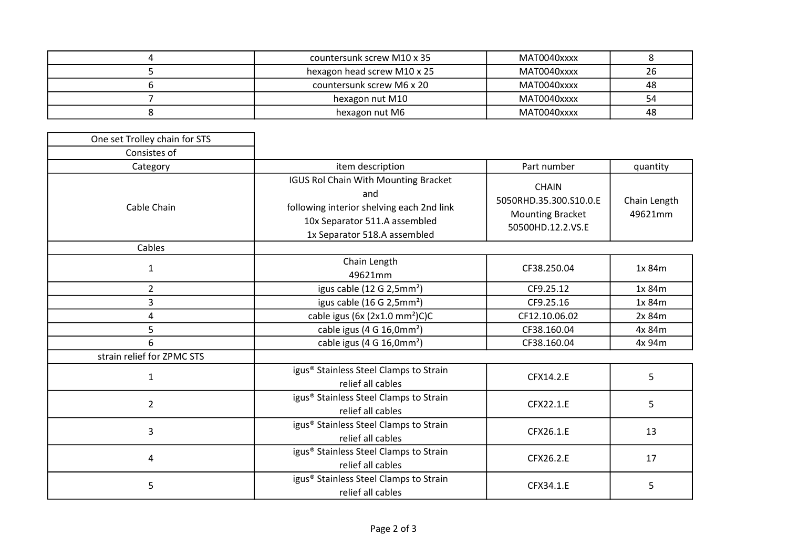| countersunk screw M10 x 35  | MAT0040xxxx |    |
|-----------------------------|-------------|----|
| hexagon head screw M10 x 25 | MAT0040xxxx | 26 |
| countersunk screw M6 x 20   | MAT0040xxxx | 48 |
| hexagon nut M10             | MAT0040xxxx | 54 |
| hexagon nut M6              | MAT0040xxxx | 48 |

| One set Trolley chain for STS |                                                                                                                                                                  |                                                                                        |                         |
|-------------------------------|------------------------------------------------------------------------------------------------------------------------------------------------------------------|----------------------------------------------------------------------------------------|-------------------------|
| Consistes of                  |                                                                                                                                                                  |                                                                                        |                         |
| Category                      | item description                                                                                                                                                 | Part number                                                                            | quantity                |
| Cable Chain                   | <b>IGUS Rol Chain With Mounting Bracket</b><br>and<br>following interior shelving each 2nd link<br>10x Separator 511.A assembled<br>1x Separator 518.A assembled | <b>CHAIN</b><br>5050RHD.35.300.S10.0.E<br><b>Mounting Bracket</b><br>50500HD.12.2.VS.E | Chain Length<br>49621mm |
| Cables                        |                                                                                                                                                                  |                                                                                        |                         |
| 1                             | Chain Length<br>49621mm                                                                                                                                          | CF38.250.04                                                                            | 1x 84m                  |
| $\overline{2}$                | igus cable (12 G 2,5mm <sup>2</sup> )                                                                                                                            | CF9.25.12                                                                              | 1x 84m                  |
| 3                             | igus cable (16 G 2,5mm <sup>2</sup> )                                                                                                                            | CF9.25.16                                                                              | 1x 84m                  |
| 4                             | cable igus (6x $(2x1.0 \text{ mm}^2)C$ )C                                                                                                                        | CF12.10.06.02                                                                          | 2x 84m                  |
| 5                             | cable igus (4 G 16,0mm <sup>2</sup> )                                                                                                                            | CF38.160.04                                                                            | 4x 84m                  |
| 6                             | cable igus (4 G 16,0mm <sup>2</sup> )                                                                                                                            | CF38.160.04                                                                            | 4x 94m                  |
| strain relief for ZPMC STS    |                                                                                                                                                                  |                                                                                        |                         |
| 1                             | igus <sup>®</sup> Stainless Steel Clamps to Strain<br>relief all cables                                                                                          | CFX14.2.E                                                                              | 5                       |
| $\overline{2}$                | igus <sup>®</sup> Stainless Steel Clamps to Strain<br>relief all cables                                                                                          | CFX22.1.E                                                                              | 5                       |
| 3                             | igus <sup>®</sup> Stainless Steel Clamps to Strain<br>relief all cables                                                                                          | CFX26.1.E                                                                              | 13                      |
| 4                             | igus <sup>®</sup> Stainless Steel Clamps to Strain<br>relief all cables                                                                                          | CFX26.2.E                                                                              | 17                      |
| 5                             | igus <sup>®</sup> Stainless Steel Clamps to Strain<br>relief all cables                                                                                          | CFX34.1.E                                                                              | 5                       |